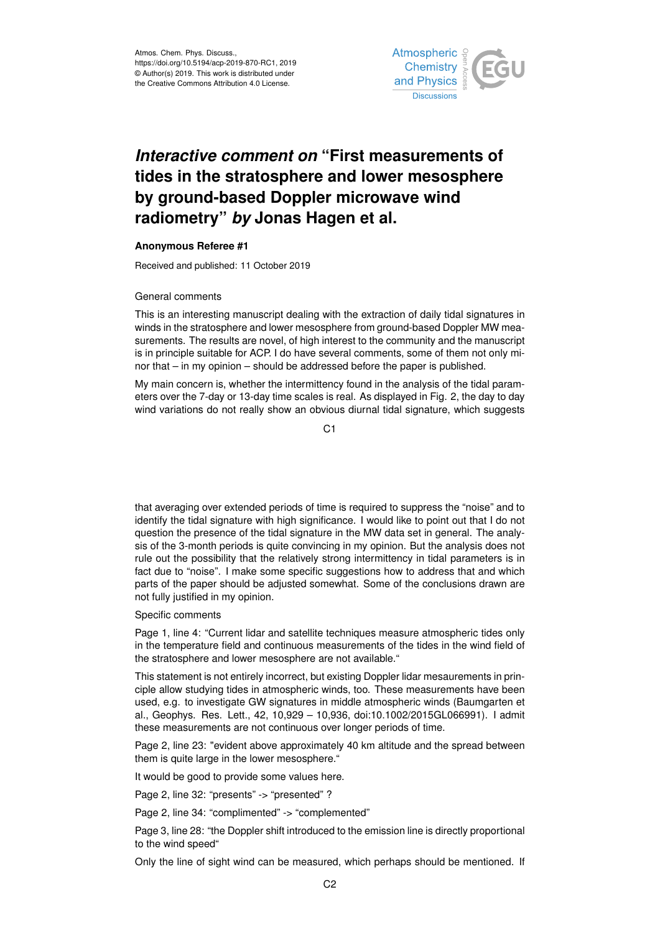

## *Interactive comment on* **"First measurements of tides in the stratosphere and lower mesosphere by ground-based Doppler microwave wind radiometry"** *by* **Jonas Hagen et al.**

## **Anonymous Referee #1**

Received and published: 11 October 2019

## General comments

This is an interesting manuscript dealing with the extraction of daily tidal signatures in winds in the stratosphere and lower mesosphere from ground-based Doppler MW measurements. The results are novel, of high interest to the community and the manuscript is in principle suitable for ACP. I do have several comments, some of them not only minor that – in my opinion – should be addressed before the paper is published.

My main concern is, whether the intermittency found in the analysis of the tidal parameters over the 7-day or 13-day time scales is real. As displayed in Fig. 2, the day to day wind variations do not really show an obvious diurnal tidal signature, which suggests

 $C<sub>1</sub>$ 

that averaging over extended periods of time is required to suppress the "noise" and to identify the tidal signature with high significance. I would like to point out that I do not question the presence of the tidal signature in the MW data set in general. The analysis of the 3-month periods is quite convincing in my opinion. But the analysis does not rule out the possibility that the relatively strong intermittency in tidal parameters is in fact due to "noise". I make some specific suggestions how to address that and which parts of the paper should be adjusted somewhat. Some of the conclusions drawn are not fully justified in my opinion.

Specific comments

Page 1, line 4: "Current lidar and satellite techniques measure atmospheric tides only in the temperature field and continuous measurements of the tides in the wind field of the stratosphere and lower mesosphere are not available."

This statement is not entirely incorrect, but existing Doppler lidar mesaurements in principle allow studying tides in atmospheric winds, too. These measurements have been used, e.g. to investigate GW signatures in middle atmospheric winds (Baumgarten et al., Geophys. Res. Lett., 42, 10,929 – 10,936, doi:10.1002/2015GL066991). I admit these measurements are not continuous over longer periods of time.

Page 2, line 23: "evident above approximately 40 km altitude and the spread between them is quite large in the lower mesosphere."

It would be good to provide some values here.

Page 2, line 32: "presents" -> "presented" ?

Page 2, line 34: "complimented" -> "complemented"

Page 3, line 28: "the Doppler shift introduced to the emission line is directly proportional to the wind speed"

Only the line of sight wind can be measured, which perhaps should be mentioned. If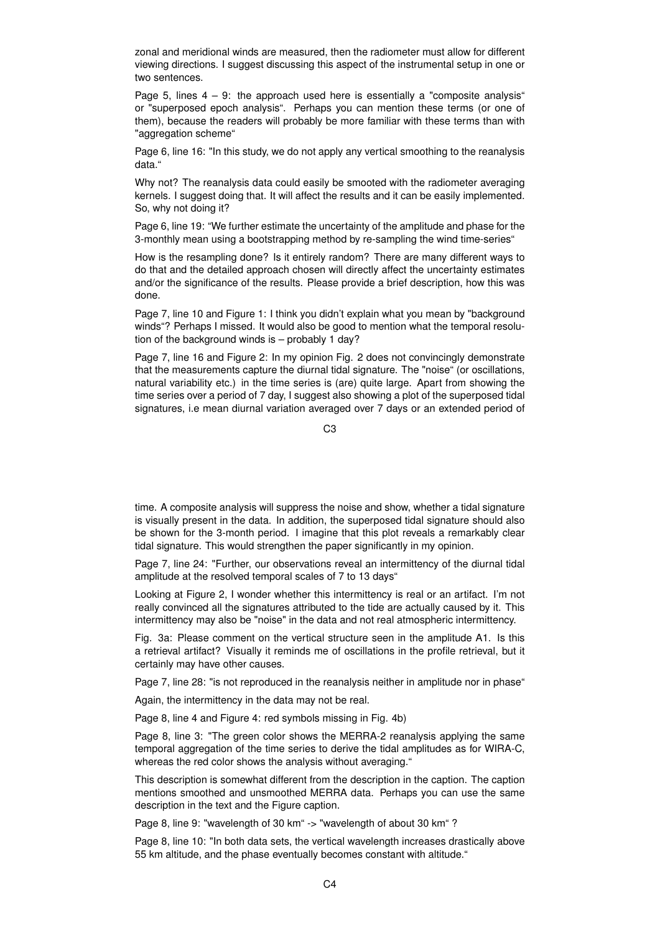zonal and meridional winds are measured, then the radiometer must allow for different viewing directions. I suggest discussing this aspect of the instrumental setup in one or two sentences.

Page 5, lines  $4 - 9$ : the approach used here is essentially a "composite analysis" or "superposed epoch analysis". Perhaps you can mention these terms (or one of them), because the readers will probably be more familiar with these terms than with "aggregation scheme"

Page 6, line 16: "In this study, we do not apply any vertical smoothing to the reanalysis data."

Why not? The reanalysis data could easily be smooted with the radiometer averaging kernels. I suggest doing that. It will affect the results and it can be easily implemented. So, why not doing it?

Page 6, line 19: "We further estimate the uncertainty of the amplitude and phase for the 3-monthly mean using a bootstrapping method by re-sampling the wind time-series"

How is the resampling done? Is it entirely random? There are many different ways to do that and the detailed approach chosen will directly affect the uncertainty estimates and/or the significance of the results. Please provide a brief description, how this was done.

Page 7, line 10 and Figure 1: I think you didn't explain what you mean by "background winds"? Perhaps I missed. It would also be good to mention what the temporal resolution of the background winds is – probably 1 day?

Page 7, line 16 and Figure 2: In my opinion Fig. 2 does not convincingly demonstrate that the measurements capture the diurnal tidal signature. The "noise" (or oscillations, natural variability etc.) in the time series is (are) quite large. Apart from showing the time series over a period of 7 day, I suggest also showing a plot of the superposed tidal signatures, i.e mean diurnal variation averaged over 7 days or an extended period of

C3

time. A composite analysis will suppress the noise and show, whether a tidal signature is visually present in the data. In addition, the superposed tidal signature should also be shown for the 3-month period. I imagine that this plot reveals a remarkably clear tidal signature. This would strengthen the paper significantly in my opinion.

Page 7, line 24: "Further, our observations reveal an intermittency of the diurnal tidal amplitude at the resolved temporal scales of 7 to 13 days"

Looking at Figure 2, I wonder whether this intermittency is real or an artifact. I'm not really convinced all the signatures attributed to the tide are actually caused by it. This intermittency may also be "noise" in the data and not real atmospheric intermittency.

Fig. 3a: Please comment on the vertical structure seen in the amplitude A1. Is this a retrieval artifact? Visually it reminds me of oscillations in the profile retrieval, but it certainly may have other causes.

Page 7, line 28: "is not reproduced in the reanalysis neither in amplitude nor in phase"

Again, the intermittency in the data may not be real.

Page 8, line 4 and Figure 4: red symbols missing in Fig. 4b)

Page 8, line 3: "The green color shows the MERRA-2 reanalysis applying the same temporal aggregation of the time series to derive the tidal amplitudes as for WIRA-C, whereas the red color shows the analysis without averaging."

This description is somewhat different from the description in the caption. The caption mentions smoothed and unsmoothed MERRA data. Perhaps you can use the same description in the text and the Figure caption.

Page 8, line 9: "wavelength of 30 km" -> "wavelength of about 30 km" ?

Page 8, line 10: "In both data sets, the vertical wavelength increases drastically above 55 km altitude, and the phase eventually becomes constant with altitude."